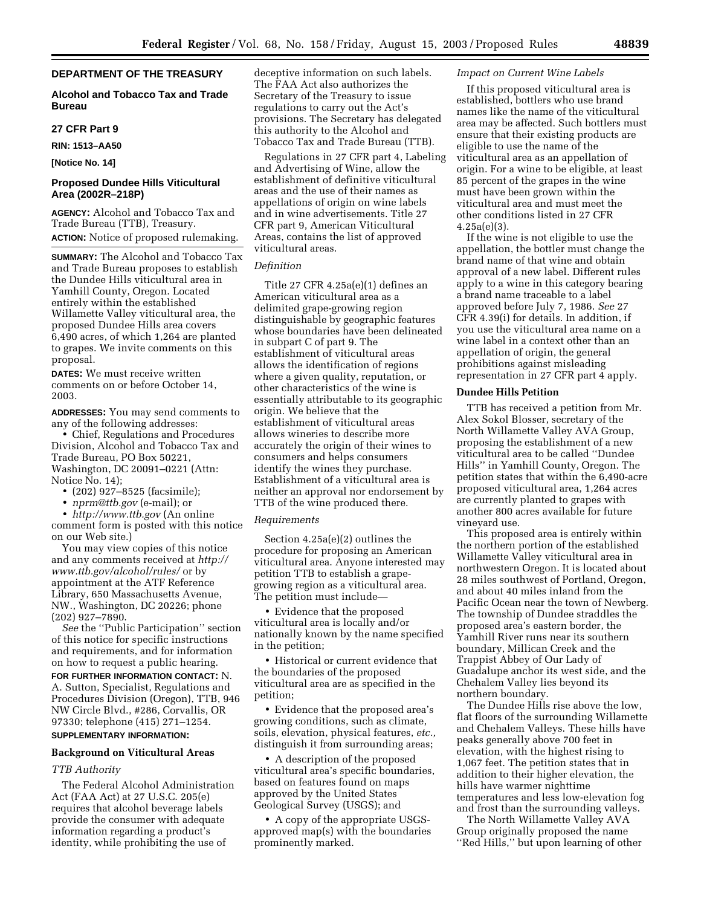# **DEPARTMENT OF THE TREASURY**

# **Alcohol and Tobacco Tax and Trade Bureau**

# **27 CFR Part 9**

**RIN: 1513–AA50**

**[Notice No. 14]** 

# **Proposed Dundee Hills Viticultural Area (2002R–218P)**

**AGENCY:** Alcohol and Tobacco Tax and Trade Bureau (TTB), Treasury. **ACTION:** Notice of proposed rulemaking.

**SUMMARY:** The Alcohol and Tobacco Tax and Trade Bureau proposes to establish the Dundee Hills viticultural area in Yamhill County, Oregon. Located entirely within the established Willamette Valley viticultural area, the proposed Dundee Hills area covers 6,490 acres, of which 1,264 are planted to grapes. We invite comments on this proposal.

**DATES:** We must receive written comments on or before October 14, 2003.

**ADDRESSES:** You may send comments to any of the following addresses:

• Chief, Regulations and Procedures Division, Alcohol and Tobacco Tax and Trade Bureau, PO Box 50221, Washington, DC 20091–0221 (Attn: Notice No. 14);

- (202) 927–8525 (facsimile);
- *[nprm@ttb.gov](mailto:nprm@ttb.gov)* (e-mail); or

• *<http://www.ttb.gov>* (An online comment form is posted with this notice on our Web site.)

You may view copies of this notice [and any comments received at](http://www.ttb.gov/alcohol/rules/) *http:// www.ttb.gov/alcohol/rules/* or by appointment at the ATF Reference Library, 650 Massachusetts Avenue, NW., Washington, DC 20226; phone (202) 927–7890.

*See* the ''Public Participation'' section of this notice for specific instructions and requirements, and for information on how to request a public hearing.

# **FOR FURTHER INFORMATION CONTACT:** N. A. Sutton, Specialist, Regulations and Procedures Division (Oregon), TTB, 946 NW Circle Blvd., #286, Corvallis, OR 97330; telephone (415) 271–1254. **SUPPLEMENTARY INFORMATION:**

# **Background on Viticultural Areas**

### *TTB Authority*

The Federal Alcohol Administration Act (FAA Act) at 27 U.S.C. 205(e) requires that alcohol beverage labels provide the consumer with adequate information regarding a product's identity, while prohibiting the use of

deceptive information on such labels. The FAA Act also authorizes the Secretary of the Treasury to issue regulations to carry out the Act's provisions. The Secretary has delegated this authority to the Alcohol and Tobacco Tax and Trade Bureau (TTB).

Regulations in 27 CFR part 4, Labeling and Advertising of Wine, allow the establishment of definitive viticultural areas and the use of their names as appellations of origin on wine labels and in wine advertisements. Title 27 CFR part 9, American Viticultural Areas, contains the list of approved viticultural areas.

## *Definition*

Title 27 CFR 4.25a(e)(1) defines an American viticultural area as a delimited grape-growing region distinguishable by geographic features whose boundaries have been delineated in subpart C of part 9. The establishment of viticultural areas allows the identification of regions where a given quality, reputation, or other characteristics of the wine is essentially attributable to its geographic origin. We believe that the establishment of viticultural areas allows wineries to describe more accurately the origin of their wines to consumers and helps consumers identify the wines they purchase. Establishment of a viticultural area is neither an approval nor endorsement by TTB of the wine produced there.

#### *Requirements*

Section 4.25a(e)(2) outlines the procedure for proposing an American viticultural area. Anyone interested may petition TTB to establish a grapegrowing region as a viticultural area. The petition must include—

• Evidence that the proposed viticultural area is locally and/or nationally known by the name specified in the petition;

• Historical or current evidence that the boundaries of the proposed viticultural area are as specified in the petition;

• Evidence that the proposed area's growing conditions, such as climate, soils, elevation, physical features, *etc.,* distinguish it from surrounding areas;

• A description of the proposed viticultural area's specific boundaries, based on features found on maps approved by the United States Geological Survey (USGS); and

• A copy of the appropriate USGSapproved map(s) with the boundaries prominently marked.

### *Impact on Current Wine Labels*

If this proposed viticultural area is established, bottlers who use brand names like the name of the viticultural area may be affected. Such bottlers must ensure that their existing products are eligible to use the name of the viticultural area as an appellation of origin. For a wine to be eligible, at least 85 percent of the grapes in the wine must have been grown within the viticultural area and must meet the other conditions listed in 27 CFR 4.25a(e)(3).

If the wine is not eligible to use the appellation, the bottler must change the brand name of that wine and obtain approval of a new label. Different rules apply to a wine in this category bearing a brand name traceable to a label approved before July 7, 1986. *See* 27 CFR 4.39(i) for details. In addition, if you use the viticultural area name on a wine label in a context other than an appellation of origin, the general prohibitions against misleading representation in 27 CFR part 4 apply.

#### **Dundee Hills Petition**

TTB has received a petition from Mr. Alex Sokol Blosser, secretary of the North Willamette Valley AVA Group, proposing the establishment of a new viticultural area to be called ''Dundee Hills'' in Yamhill County, Oregon. The petition states that within the 6,490-acre proposed viticultural area, 1,264 acres are currently planted to grapes with another 800 acres available for future vineyard use.

This proposed area is entirely within the northern portion of the established Willamette Valley viticultural area in northwestern Oregon. It is located about 28 miles southwest of Portland, Oregon, and about 40 miles inland from the Pacific Ocean near the town of Newberg. The township of Dundee straddles the proposed area's eastern border, the Yamhill River runs near its southern boundary, Millican Creek and the Trappist Abbey of Our Lady of Guadalupe anchor its west side, and the Chehalem Valley lies beyond its northern boundary.

The Dundee Hills rise above the low, flat floors of the surrounding Willamette and Chehalem Valleys. These hills have peaks generally above 700 feet in elevation, with the highest rising to 1,067 feet. The petition states that in addition to their higher elevation, the hills have warmer nighttime temperatures and less low-elevation fog and frost than the surrounding valleys.

The North Willamette Valley AVA Group originally proposed the name ''Red Hills,'' but upon learning of other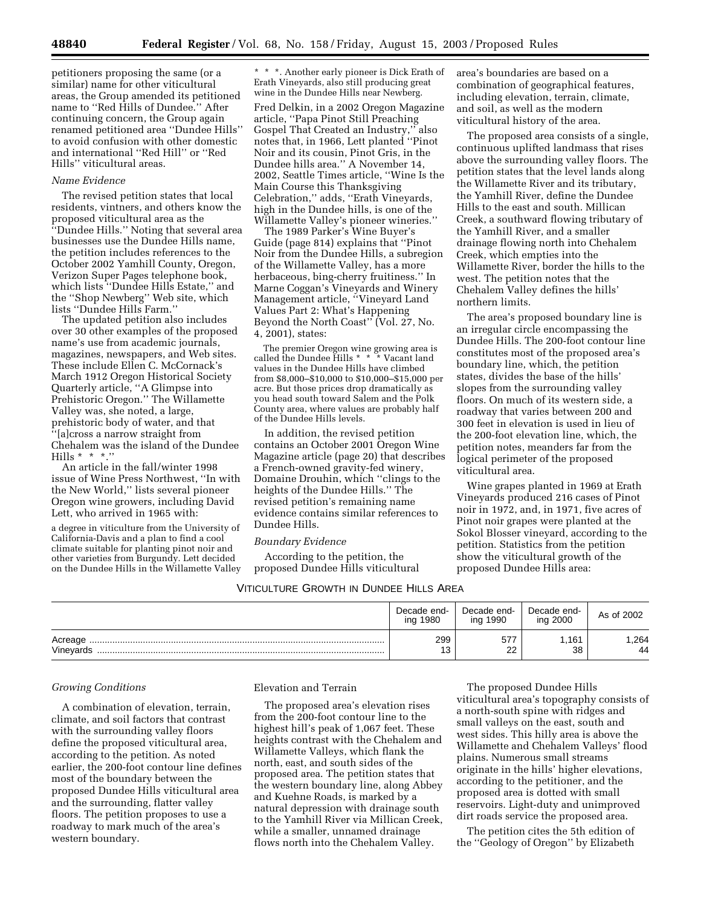petitioners proposing the same (or a similar) name for other viticultural areas, the Group amended its petitioned name to ''Red Hills of Dundee.'' After continuing concern, the Group again renamed petitioned area ''Dundee Hills'' to avoid confusion with other domestic and international ''Red Hill'' or ''Red Hills'' viticultural areas.

### *Name Evidence*

The revised petition states that local residents, vintners, and others know the proposed viticultural area as the 'Dundee Hills.'' Noting that several area businesses use the Dundee Hills name, the petition includes references to the October 2002 Yamhill County, Oregon, Verizon Super Pages telephone book, which lists ''Dundee Hills Estate,'' and the ''Shop Newberg'' Web site, which lists ''Dundee Hills Farm.''

The updated petition also includes over 30 other examples of the proposed name's use from academic journals, magazines, newspapers, and Web sites. These include Ellen C. McCornack's March 1912 Oregon Historical Society Quarterly article, ''A Glimpse into Prehistoric Oregon.'' The Willamette Valley was, she noted, a large, prehistoric body of water, and that ''[a]cross a narrow straight from Chehalem was the island of the Dundee Hills  $* * *$ ."

An article in the fall/winter 1998 issue of Wine Press Northwest, ''In with the New World,'' lists several pioneer Oregon wine growers, including David Lett, who arrived in 1965 with:

a degree in viticulture from the University of California-Davis and a plan to find a cool climate suitable for planting pinot noir and other varieties from Burgundy. Lett decided on the Dundee Hills in the Willamette Valley \* \* \*. Another early pioneer is Dick Erath of Erath Vineyards, also still producing great wine in the Dundee Hills near Newberg.

Fred Delkin, in a 2002 Oregon Magazine article, ''Papa Pinot Still Preaching Gospel That Created an Industry,'' also notes that, in 1966, Lett planted ''Pinot Noir and its cousin, Pinot Gris, in the Dundee hills area.'' A November 14, 2002, Seattle Times article, ''Wine Is the Main Course this Thanksgiving Celebration,'' adds, ''Erath Vineyards, high in the Dundee hills, is one of the Willamette Valley's pioneer wineries.''

The 1989 Parker's Wine Buyer's Guide (page 814) explains that ''Pinot Noir from the Dundee Hills, a subregion of the Willamette Valley, has a more herbaceous, bing-cherry fruitiness.'' In Marne Coggan's Vineyards and Winery Management article, ''Vineyard Land Values Part 2: What's Happening Beyond the North Coast'' (Vol. 27, No. 4, 2001), states:

The premier Oregon wine growing area is called the Dundee Hills \* \* \* Vacant land values in the Dundee Hills have climbed from \$8,000–\$10,000 to \$10,000–\$15,000 per acre. But those prices drop dramatically as you head south toward Salem and the Polk County area, where values are probably half of the Dundee Hills levels.

In addition, the revised petition contains an October 2001 Oregon Wine Magazine article (page 20) that describes a French-owned gravity-fed winery, Domaine Drouhin, which ''clings to the heights of the Dundee Hills.'' The revised petition's remaining name evidence contains similar references to Dundee Hills.

#### *Boundary Evidence*

According to the petition, the proposed Dundee Hills viticultural

VITICULTURE GROWTH IN DUNDEE HILLS AREA

Decade ending 1980 Decade ending 1990 Decade end-<br>ing 2000 As of 2002 Acreage .................................................................................................................... 299 577 1,161 1,264 Vineyards ................................................................................................................. 13 22 38 44

### *Growing Conditions*

A combination of elevation, terrain, climate, and soil factors that contrast with the surrounding valley floors define the proposed viticultural area, according to the petition. As noted earlier, the 200-foot contour line defines most of the boundary between the proposed Dundee Hills viticultural area and the surrounding, flatter valley floors. The petition proposes to use a roadway to mark much of the area's western boundary.

#### Elevation and Terrain

The proposed area's elevation rises from the 200-foot contour line to the highest hill's peak of 1,067 feet. These heights contrast with the Chehalem and Willamette Valleys, which flank the north, east, and south sides of the proposed area. The petition states that the western boundary line, along Abbey and Kuehne Roads, is marked by a natural depression with drainage south to the Yamhill River via Millican Creek, while a smaller, unnamed drainage flows north into the Chehalem Valley.

The proposed Dundee Hills viticultural area's topography consists of a north-south spine with ridges and small valleys on the east, south and west sides. This hilly area is above the Willamette and Chehalem Valleys' flood plains. Numerous small streams originate in the hills' higher elevations, according to the petitioner, and the proposed area is dotted with small reservoirs. Light-duty and unimproved dirt roads service the proposed area.

The petition cites the 5th edition of the ''Geology of Oregon'' by Elizabeth

area's boundaries are based on a combination of geographical features, including elevation, terrain, climate, and soil, as well as the modern viticultural history of the area.

The proposed area consists of a single, continuous uplifted landmass that rises above the surrounding valley floors. The petition states that the level lands along the Willamette River and its tributary, the Yamhill River, define the Dundee Hills to the east and south. Millican Creek, a southward flowing tributary of the Yamhill River, and a smaller drainage flowing north into Chehalem Creek, which empties into the Willamette River, border the hills to the west. The petition notes that the Chehalem Valley defines the hills' northern limits.

The area's proposed boundary line is an irregular circle encompassing the Dundee Hills. The 200-foot contour line constitutes most of the proposed area's boundary line, which, the petition states, divides the base of the hills' slopes from the surrounding valley floors. On much of its western side, a roadway that varies between 200 and 300 feet in elevation is used in lieu of the 200-foot elevation line, which, the petition notes, meanders far from the logical perimeter of the proposed viticultural area.

Wine grapes planted in 1969 at Erath Vineyards produced 216 cases of Pinot noir in 1972, and, in 1971, five acres of Pinot noir grapes were planted at the Sokol Blosser vineyard, according to the petition. Statistics from the petition show the viticultural growth of the proposed Dundee Hills area: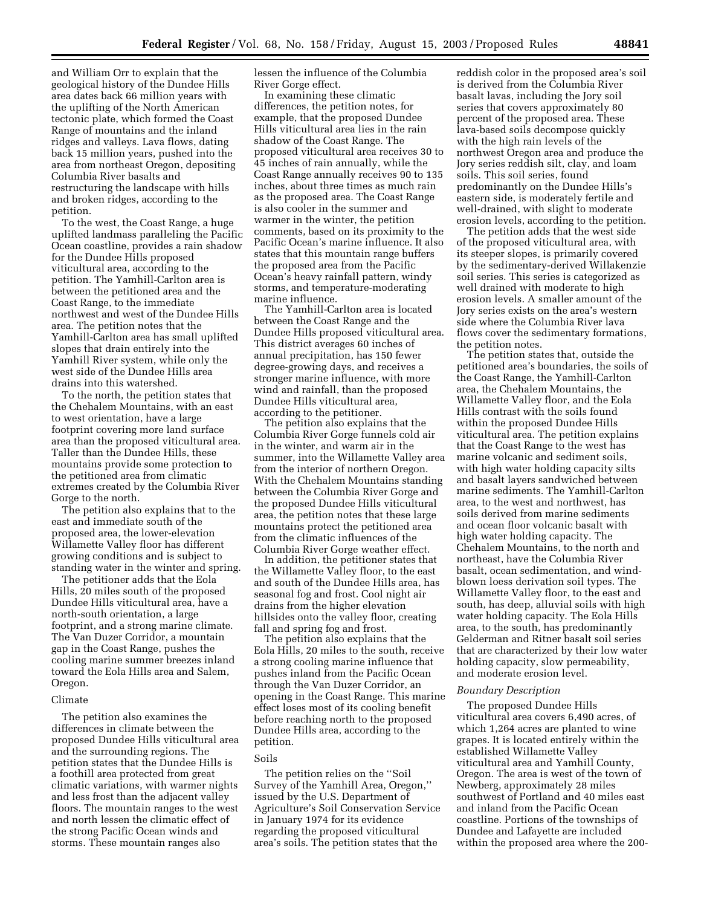and William Orr to explain that the geological history of the Dundee Hills area dates back 66 million years with the uplifting of the North American tectonic plate, which formed the Coast Range of mountains and the inland ridges and valleys. Lava flows, dating back 15 million years, pushed into the area from northeast Oregon, depositing Columbia River basalts and restructuring the landscape with hills and broken ridges, according to the petition.

To the west, the Coast Range, a huge uplifted landmass paralleling the Pacific Ocean coastline, provides a rain shadow for the Dundee Hills proposed viticultural area, according to the petition. The Yamhill-Carlton area is between the petitioned area and the Coast Range, to the immediate northwest and west of the Dundee Hills area. The petition notes that the Yamhill-Carlton area has small uplifted slopes that drain entirely into the Yamhill River system, while only the west side of the Dundee Hills area drains into this watershed.

To the north, the petition states that the Chehalem Mountains, with an east to west orientation, have a large footprint covering more land surface area than the proposed viticultural area. Taller than the Dundee Hills, these mountains provide some protection to the petitioned area from climatic extremes created by the Columbia River Gorge to the north.

The petition also explains that to the east and immediate south of the proposed area, the lower-elevation Willamette Valley floor has different growing conditions and is subject to standing water in the winter and spring.

The petitioner adds that the Eola Hills, 20 miles south of the proposed Dundee Hills viticultural area, have a north-south orientation, a large footprint, and a strong marine climate. The Van Duzer Corridor, a mountain gap in the Coast Range, pushes the cooling marine summer breezes inland toward the Eola Hills area and Salem, Oregon.

#### Climate

The petition also examines the differences in climate between the proposed Dundee Hills viticultural area and the surrounding regions. The petition states that the Dundee Hills is a foothill area protected from great climatic variations, with warmer nights and less frost than the adjacent valley floors. The mountain ranges to the west and north lessen the climatic effect of the strong Pacific Ocean winds and storms. These mountain ranges also

lessen the influence of the Columbia River Gorge effect.

In examining these climatic differences, the petition notes, for example, that the proposed Dundee Hills viticultural area lies in the rain shadow of the Coast Range. The proposed viticultural area receives 30 to 45 inches of rain annually, while the Coast Range annually receives 90 to 135 inches, about three times as much rain as the proposed area. The Coast Range is also cooler in the summer and warmer in the winter, the petition comments, based on its proximity to the Pacific Ocean's marine influence. It also states that this mountain range buffers the proposed area from the Pacific Ocean's heavy rainfall pattern, windy storms, and temperature-moderating marine influence.

The Yamhill-Carlton area is located between the Coast Range and the Dundee Hills proposed viticultural area. This district averages 60 inches of annual precipitation, has 150 fewer degree-growing days, and receives a stronger marine influence, with more wind and rainfall, than the proposed Dundee Hills viticultural area, according to the petitioner.

The petition also explains that the Columbia River Gorge funnels cold air in the winter, and warm air in the summer, into the Willamette Valley area from the interior of northern Oregon. With the Chehalem Mountains standing between the Columbia River Gorge and the proposed Dundee Hills viticultural area, the petition notes that these large mountains protect the petitioned area from the climatic influences of the Columbia River Gorge weather effect.

In addition, the petitioner states that the Willamette Valley floor, to the east and south of the Dundee Hills area, has seasonal fog and frost. Cool night air drains from the higher elevation hillsides onto the valley floor, creating fall and spring fog and frost.

The petition also explains that the Eola Hills, 20 miles to the south, receive a strong cooling marine influence that pushes inland from the Pacific Ocean through the Van Duzer Corridor, an opening in the Coast Range. This marine effect loses most of its cooling benefit before reaching north to the proposed Dundee Hills area, according to the petition.

#### Soils

The petition relies on the ''Soil Survey of the Yamhill Area, Oregon,'' issued by the U.S. Department of Agriculture's Soil Conservation Service in January 1974 for its evidence regarding the proposed viticultural area's soils. The petition states that the

reddish color in the proposed area's soil is derived from the Columbia River basalt lavas, including the Jory soil series that covers approximately 80 percent of the proposed area. These lava-based soils decompose quickly with the high rain levels of the northwest Oregon area and produce the Jory series reddish silt, clay, and loam soils. This soil series, found predominantly on the Dundee Hills's eastern side, is moderately fertile and well-drained, with slight to moderate erosion levels, according to the petition.

The petition adds that the west side of the proposed viticultural area, with its steeper slopes, is primarily covered by the sedimentary-derived Willakenzie soil series. This series is categorized as well drained with moderate to high erosion levels. A smaller amount of the Jory series exists on the area's western side where the Columbia River lava flows cover the sedimentary formations, the petition notes.

The petition states that, outside the petitioned area's boundaries, the soils of the Coast Range, the Yamhill-Carlton area, the Chehalem Mountains, the Willamette Valley floor, and the Eola Hills contrast with the soils found within the proposed Dundee Hills viticultural area. The petition explains that the Coast Range to the west has marine volcanic and sediment soils, with high water holding capacity silts and basalt layers sandwiched between marine sediments. The Yamhill-Carlton area, to the west and northwest, has soils derived from marine sediments and ocean floor volcanic basalt with high water holding capacity. The Chehalem Mountains, to the north and northeast, have the Columbia River basalt, ocean sedimentation, and windblown loess derivation soil types. The Willamette Valley floor, to the east and south, has deep, alluvial soils with high water holding capacity. The Eola Hills area, to the south, has predominantly Gelderman and Ritner basalt soil series that are characterized by their low water holding capacity, slow permeability, and moderate erosion level.

### *Boundary Description*

The proposed Dundee Hills viticultural area covers 6,490 acres, of which 1,264 acres are planted to wine grapes. It is located entirely within the established Willamette Valley viticultural area and Yamhill County, Oregon. The area is west of the town of Newberg, approximately 28 miles southwest of Portland and 40 miles east and inland from the Pacific Ocean coastline. Portions of the townships of Dundee and Lafayette are included within the proposed area where the 200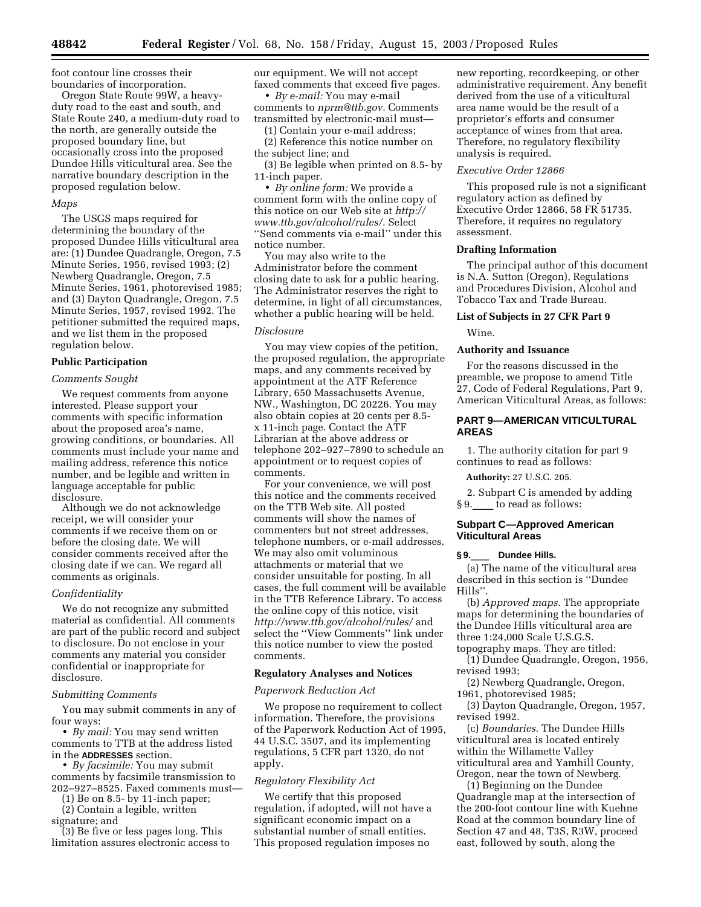foot contour line crosses their boundaries of incorporation.

Oregon State Route 99W, a heavyduty road to the east and south, and State Route 240, a medium-duty road to the north, are generally outside the proposed boundary line, but occasionally cross into the proposed Dundee Hills viticultural area. See the narrative boundary description in the proposed regulation below.

### *Maps*

The USGS maps required for determining the boundary of the proposed Dundee Hills viticultural area are: (1) Dundee Quadrangle, Oregon, 7.5 Minute Series, 1956, revised 1993; (2) Newberg Quadrangle, Oregon, 7.5 Minute Series, 1961, photorevised 1985; and (3) Dayton Quadrangle, Oregon, 7.5 Minute Series, 1957, revised 1992. The petitioner submitted the required maps, and we list them in the proposed regulation below.

### **Public Participation**

#### *Comments Sought*

We request comments from anyone interested. Please support your comments with specific information about the proposed area's name, growing conditions, or boundaries. All comments must include your name and mailing address, reference this notice number, and be legible and written in language acceptable for public disclosure.

Although we do not acknowledge receipt, we will consider your comments if we receive them on or before the closing date. We will consider comments received after the closing date if we can. We regard all comments as originals.

#### *Confidentiality*

We do not recognize any submitted material as confidential. All comments are part of the public record and subject to disclosure. Do not enclose in your comments any material you consider confidential or inappropriate for disclosure.

### *Submitting Comments*

You may submit comments in any of four ways:

• *By mail:* You may send written comments to TTB at the address listed in the **ADDRESSES** section.

• *By facsimile:* You may submit comments by facsimile transmission to 202–927–8525. Faxed comments must—

(1) Be on 8.5- by 11-inch paper;

(2) Contain a legible, written

signature; and

(3) Be five or less pages long. This limitation assures electronic access to our equipment. We will not accept faxed comments that exceed five pages.

• *By e-mail:* You may e-mail comments to *[nprm@ttb.gov.](mailto:nprm@ttb.gov)* Comments transmitted by electronic-mail must—

(1) Contain your e-mail address;

(2) Reference this notice number on the subject line; and

(3) Be legible when printed on 8.5- by 11-inch paper.

• *By online form:* We provide a comment form with the online copy of [this notice on our Web site at](http://www.ttb.gov/alcohol/rules/) *http:// www.ttb.gov/alcohol/rules/.* Select ''Send comments via e-mail'' under this notice number.

You may also write to the Administrator before the comment closing date to ask for a public hearing. The Administrator reserves the right to determine, in light of all circumstances, whether a public hearing will be held.

### *Disclosure*

You may view copies of the petition, the proposed regulation, the appropriate maps, and any comments received by appointment at the ATF Reference Library, 650 Massachusetts Avenue, NW., Washington, DC 20226. You may also obtain copies at 20 cents per 8.5 x 11-inch page. Contact the ATF Librarian at the above address or telephone 202–927–7890 to schedule an appointment or to request copies of comments.

For your convenience, we will post this notice and the comments received on the TTB Web site. All posted comments will show the names of commenters but not street addresses, telephone numbers, or e-mail addresses. We may also omit voluminous attachments or material that we consider unsuitable for posting. In all cases, the full comment will be available in the TTB Reference Library. To access the online copy of this notice, visit *<http://www.ttb.gov/alcohol/rules/>*and select the ''View Comments'' link under this notice number to view the posted comments.

### **Regulatory Analyses and Notices**

### *Paperwork Reduction Act*

We propose no requirement to collect information. Therefore, the provisions of the Paperwork Reduction Act of 1995, 44 U.S.C. 3507, and its implementing regulations, 5 CFR part 1320, do not apply.

### *Regulatory Flexibility Act*

We certify that this proposed regulation, if adopted, will not have a significant economic impact on a substantial number of small entities. This proposed regulation imposes no

new reporting, recordkeeping, or other administrative requirement. Any benefit derived from the use of a viticultural area name would be the result of a proprietor's efforts and consumer acceptance of wines from that area. Therefore, no regulatory flexibility analysis is required.

#### *Executive Order 12866*

This proposed rule is not a significant regulatory action as defined by Executive Order 12866, 58 FR 51735. Therefore, it requires no regulatory assessment.

### **Drafting Information**

The principal author of this document is N.A. Sutton (Oregon), Regulations and Procedures Division, Alcohol and Tobacco Tax and Trade Bureau.

#### **List of Subjects in 27 CFR Part 9**

Wine.

#### **Authority and Issuance**

For the reasons discussed in the preamble, we propose to amend Title 27, Code of Federal Regulations, Part 9, American Viticultural Areas, as follows:

# **PART 9—AMERICAN VITICULTURAL AREAS**

1. The authority citation for part 9 continues to read as follows:

**Authority:** 27 U.S.C. 205.

2. Subpart C is amended by adding § 9. to read as follows:

### **Subpart C—Approved American Viticultural Areas**

#### **§ 9.**\_\_\_\_ **Dundee Hills.**

(a) The name of the viticultural area described in this section is ''Dundee Hills''.

(b) *Approved maps.* The appropriate maps for determining the boundaries of the Dundee Hills viticultural area are three 1:24,000 Scale U.S.G.S.

topography maps. They are titled: (1) Dundee Quadrangle, Oregon, 1956, revised 1993;

(2) Newberg Quadrangle, Oregon, 1961, photorevised 1985;

(3) Dayton Quadrangle, Oregon, 1957, revised 1992.

(c) *Boundaries.* The Dundee Hills viticultural area is located entirely within the Willamette Valley viticultural area and Yamhill County, Oregon, near the town of Newberg.

(1) Beginning on the Dundee Quadrangle map at the intersection of the 200-foot contour line with Kuehne Road at the common boundary line of Section 47 and 48, T3S, R3W, proceed east, followed by south, along the